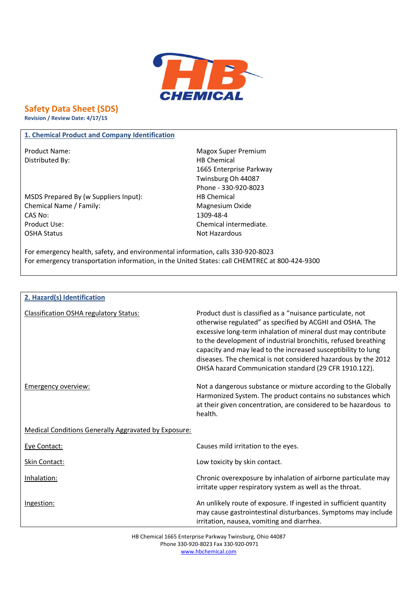

# **Safety Data Sheet (SDS)**

**Revision / Review Date: 4/17/15**

# **1. Chemical Product and Company Identification**

Distributed By: Notice and Separate Separate Separate Separate Separate Separate Separate Separate Separate Separate Separate Separate Separate Separate Separate Separate Separate Separate Separate Separate Separate Separa

MSDS Prepared By (w Suppliers Input): HB Chemical Chemical Name / Family: Magnesium Oxide CAS No: 1309-48-4 Product Use: Chemical intermediate. OSHA Status Not Hazardous

Product Name: Name: Magox Super Premium 1665 Enterprise Parkway Twinsburg Oh 44087 Phone - 330-920-8023

For emergency health, safety, and environmental information, calls 330-920-8023 For emergency transportation information, in the United States: call CHEMTREC at 800-424-9300

| 2. Hazard(s) Identification                                 |                                                                                                                                                                                                                                                                                                                                                                                                                                                       |
|-------------------------------------------------------------|-------------------------------------------------------------------------------------------------------------------------------------------------------------------------------------------------------------------------------------------------------------------------------------------------------------------------------------------------------------------------------------------------------------------------------------------------------|
| <b>Classification OSHA regulatory Status:</b>               | Product dust is classified as a "nuisance particulate, not<br>otherwise regulated" as specified by ACGHI and OSHA. The<br>excessive long-term inhalation of mineral dust may contribute<br>to the development of industrial bronchitis, refused breathing<br>capacity and may lead to the increased susceptibility to lung<br>diseases. The chemical is not considered hazardous by the 2012<br>OHSA hazard Communication standard (29 CFR 1910.122). |
| Emergency overview:                                         | Not a dangerous substance or mixture according to the Globally<br>Harmonized System. The product contains no substances which<br>at their given concentration, are considered to be hazardous to<br>health.                                                                                                                                                                                                                                           |
| <b>Medical Conditions Generally Aggravated by Exposure:</b> |                                                                                                                                                                                                                                                                                                                                                                                                                                                       |
| Eye Contact:                                                | Causes mild irritation to the eyes.                                                                                                                                                                                                                                                                                                                                                                                                                   |
| Skin Contact:                                               | Low toxicity by skin contact.                                                                                                                                                                                                                                                                                                                                                                                                                         |
| Inhalation:                                                 | Chronic overexposure by inhalation of airborne particulate may<br>irritate upper respiratory system as well as the throat.                                                                                                                                                                                                                                                                                                                            |
| Ingestion:                                                  | An unlikely route of exposure. If ingested in sufficient quantity<br>may cause gastrointestinal disturbances. Symptoms may include<br>irritation, nausea, vomiting and diarrhea.                                                                                                                                                                                                                                                                      |

HB Chemical 1665 Enterprise Parkway Twinsburg, Ohio 44087 Phone 330-920-8023 Fax 330-920-0971 www.hbchemical.com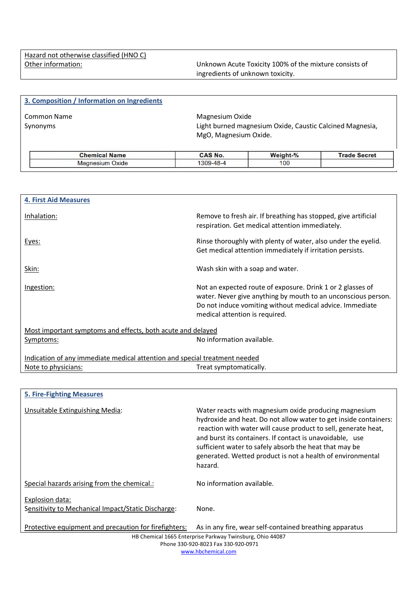Other information: Unknown Acute Toxicity 100% of the mixture consists of ingredients of unknown toxicity.

| 3. Composition / Information on Ingredients |                                          |                                                          |                     |
|---------------------------------------------|------------------------------------------|----------------------------------------------------------|---------------------|
| <b>Common Name</b><br>Synonyms              | Magnesium Oxide<br>MgO, Magnesium Oxide. | Light burned magnesium Oxide, Caustic Calcined Magnesia, |                     |
| <b>Chemical Name</b>                        | CAS No.                                  | Weight-%                                                 | <b>Trade Secret</b> |
| <b>Magnesium Oxide</b>                      | 1309-48-4                                | 100                                                      |                     |

| <b>4. First Aid Measures</b>                                               |                                                                                                                                                                                                                           |  |
|----------------------------------------------------------------------------|---------------------------------------------------------------------------------------------------------------------------------------------------------------------------------------------------------------------------|--|
| Inhalation:                                                                | Remove to fresh air. If breathing has stopped, give artificial<br>respiration. Get medical attention immediately.                                                                                                         |  |
| Eyes:                                                                      | Rinse thoroughly with plenty of water, also under the eyelid.<br>Get medical attention immediately if irritation persists.                                                                                                |  |
| Skin:                                                                      | Wash skin with a soap and water.                                                                                                                                                                                          |  |
| <u>Ingestion:</u>                                                          | Not an expected route of exposure. Drink 1 or 2 glasses of<br>water. Never give anything by mouth to an unconscious person.<br>Do not induce vomiting without medical advice. Immediate<br>medical attention is required. |  |
| Most important symptoms and effects, both acute and delayed                |                                                                                                                                                                                                                           |  |
| Symptoms:                                                                  | No information available.                                                                                                                                                                                                 |  |
| Indication of any immediate medical attention and special treatment needed |                                                                                                                                                                                                                           |  |
| Note to physicians:                                                        | Treat symptomatically.                                                                                                                                                                                                    |  |
|                                                                            |                                                                                                                                                                                                                           |  |

| <b>5. Fire-Fighting Measures</b>                                      |                                                                                                                                                                                                                                                                                                                                                                                            |
|-----------------------------------------------------------------------|--------------------------------------------------------------------------------------------------------------------------------------------------------------------------------------------------------------------------------------------------------------------------------------------------------------------------------------------------------------------------------------------|
| Unsuitable Extinguishing Media:                                       | Water reacts with magnesium oxide producing magnesium<br>hydroxide and heat. Do not allow water to get inside containers:<br>reaction with water will cause product to sell, generate heat,<br>and burst its containers. If contact is unavoidable, use<br>sufficient water to safely absorb the heat that may be<br>generated. Wetted product is not a health of environmental<br>hazard. |
| Special hazards arising from the chemical.:                           | No information available.                                                                                                                                                                                                                                                                                                                                                                  |
| Explosion data:<br>Sensitivity to Mechanical Impact/Static Discharge: | None.                                                                                                                                                                                                                                                                                                                                                                                      |
| Protective equipment and precaution for firefighters:                 | As in any fire, wear self-contained breathing apparatus                                                                                                                                                                                                                                                                                                                                    |
|                                                                       | HB Chemical 1665 Enterprise Parkway Twinsburg, Ohio 44087                                                                                                                                                                                                                                                                                                                                  |
|                                                                       | Phone 330-920-8023 Fax 330-920-0971                                                                                                                                                                                                                                                                                                                                                        |

www.hbchemical.com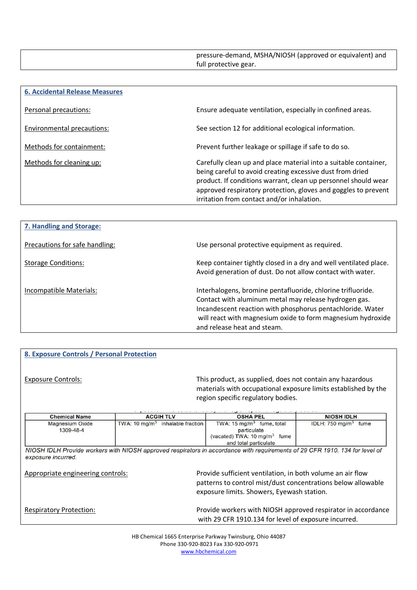pressure-demand, MSHA/NIOSH (approved or equivalent) and full protective gear.

| <b>6. Accidental Release Measures</b> |                                                                                                                                                                                                                                                                                                                 |
|---------------------------------------|-----------------------------------------------------------------------------------------------------------------------------------------------------------------------------------------------------------------------------------------------------------------------------------------------------------------|
| Personal precautions:                 | Ensure adequate ventilation, especially in confined areas.                                                                                                                                                                                                                                                      |
| Environmental precautions:            | See section 12 for additional ecological information.                                                                                                                                                                                                                                                           |
| Methods for containment:              | Prevent further leakage or spillage if safe to do so.                                                                                                                                                                                                                                                           |
| Methods for cleaning up:              | Carefully clean up and place material into a suitable container,<br>being careful to avoid creating excessive dust from dried<br>product. If conditions warrant, clean up personnel should wear<br>approved respiratory protection, gloves and goggles to prevent<br>irritation from contact and/or inhalation. |

| 7. Handling and Storage:       |                                                                                                                                                                                                                                                                                  |
|--------------------------------|----------------------------------------------------------------------------------------------------------------------------------------------------------------------------------------------------------------------------------------------------------------------------------|
| Precautions for safe handling: | Use personal protective equipment as required.                                                                                                                                                                                                                                   |
| <b>Storage Conditions:</b>     | Keep container tightly closed in a dry and well ventilated place.<br>Avoid generation of dust. Do not allow contact with water.                                                                                                                                                  |
| Incompatible Materials:        | Interhalogens, bromine pentafluoride, chlorine trifluoride.<br>Contact with aluminum metal may release hydrogen gas.<br>Incandescent reaction with phosphorus pentachloride. Water<br>will react with magnesium oxide to form magnesium hydroxide<br>and release heat and steam. |

# **8. Exposure Controls / Personal Protection**

Exposure Controls: This product, as supplied, does not contain any hazardous materials with occupational exposure limits established by the region specific regulatory bodies.

| TWA: 10 mg/m <sup>3</sup> inhalable fraction |                                                                                                                         |                                                                                                                             |
|----------------------------------------------|-------------------------------------------------------------------------------------------------------------------------|-----------------------------------------------------------------------------------------------------------------------------|
|                                              | TWA: $15 \text{ mg/m}^3$ fume, total<br>particulate<br>(vacated) TWA: $10 \text{ mg/m}^3$ fume<br>and total particulate | IDLH: $750 \text{ mg/m}^3$ fume                                                                                             |
|                                              |                                                                                                                         |                                                                                                                             |
|                                              |                                                                                                                         | NIOSH IDLH Provide workers with NIOSH approved respirators in accordance with requirements of 29 CFR 1910, 134 for level of |

Appropriate engineering controls: Provide sufficient ventilation, in both volume an air flow patterns to control mist/dust concentrations below allowable exposure limits. Showers, Eyewash station.

Respiratory Protection: **Provide workers with NIOSH approved respirator in accordance** with 29 CFR 1910.134 for level of exposure incurred.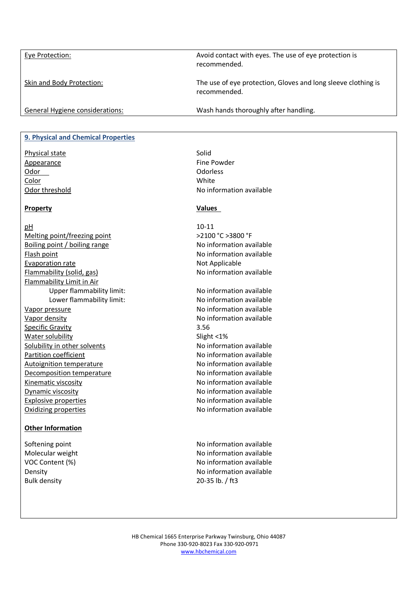Eye Protection: Avoid contact with eyes. The use of eye protection is recommended.

Skin and Body Protection: The use of eye protection, Gloves and long sleeve clothing is recommended.

General Hygiene considerations: Wash hands thoroughly after handling.

### **9. Physical and Chemical Properties**

Physical state Solid Appearance **Fine Powder** Odor Odorless and Odorless of the Odorless of the Odorless of the Odorless of the Odorless of the Odorless of the Odorless of the Odorless of the Odorless of the Odorless of the Odorless of the Odorless of the Odorless of Color White

#### **Property Values**

pH 10-11 Melting point/freezing point  $\geq$  2100 °C >3800 °F Boiling point / boiling range No information available Flash point **No information available** Evaporation rate Not Applicable Flammability (solid, gas) Moinformation available Flammability Limit in Air Upper flammability limit: No information available Vapor pressure No information available Vapor density **No information available** Specific Gravity 3.56 Water solubility Slight <1% Solubility in other solvents Noirel Communist Colubility in other solvents Partition coefficient Noinformation available Autoignition temperature Noinformation available Decomposition temperature Noinformation available Kinematic viscosity **No information available** Dynamic viscosity **No information available** Explosive properties and the settlement of the No information available Oxidizing properties No information available

# **Other Information**

Bulk density 20-35 lb. / ft3

Odor threshold and a set of the No information available

Lower flammability limit: No information available

Softening point Softening point and the No information available Molecular weight Noinformation available VOC Content (%) No information available Density **No information available**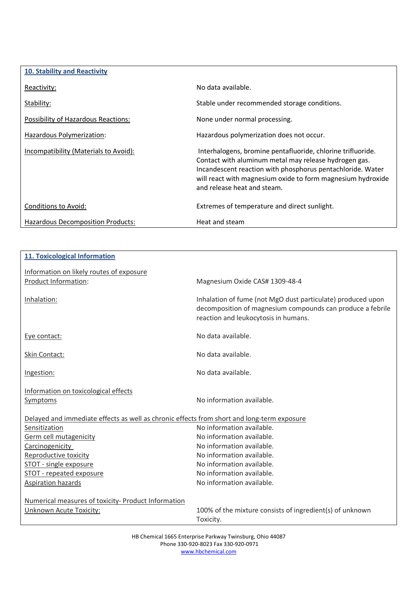| <b>10. Stability and Reactivity</b>      |                                                                                                                                                                                                                                                                                  |
|------------------------------------------|----------------------------------------------------------------------------------------------------------------------------------------------------------------------------------------------------------------------------------------------------------------------------------|
| Reactivity:                              | No data available.                                                                                                                                                                                                                                                               |
| Stability:                               | Stable under recommended storage conditions.                                                                                                                                                                                                                                     |
| Possibility of Hazardous Reactions:      | None under normal processing.                                                                                                                                                                                                                                                    |
| Hazardous Polymerization:                | Hazardous polymerization does not occur.                                                                                                                                                                                                                                         |
| Incompatibility (Materials to Avoid):    | Interhalogens, bromine pentafluoride, chlorine trifluoride.<br>Contact with aluminum metal may release hydrogen gas.<br>Incandescent reaction with phosphorus pentachloride. Water<br>will react with magnesium oxide to form magnesium hydroxide<br>and release heat and steam. |
| Conditions to Avoid:                     | Extremes of temperature and direct sunlight.                                                                                                                                                                                                                                     |
| <b>Hazardous Decomposition Products:</b> | Heat and steam                                                                                                                                                                                                                                                                   |

| <b>11. Toxicological Information</b>                                                       |                                                                                                                                                                   |
|--------------------------------------------------------------------------------------------|-------------------------------------------------------------------------------------------------------------------------------------------------------------------|
|                                                                                            |                                                                                                                                                                   |
| Information on likely routes of exposure                                                   |                                                                                                                                                                   |
| Product Information:                                                                       | Magnesium Oxide CAS# 1309-48-4                                                                                                                                    |
| Inhalation:                                                                                | Inhalation of fume (not MgO dust particulate) produced upon<br>decomposition of magnesium compounds can produce a febrile<br>reaction and leukocytosis in humans. |
| Eye contact:                                                                               | No data available.                                                                                                                                                |
| Skin Contact:                                                                              | No data available.                                                                                                                                                |
| Ingestion:                                                                                 | No data available.                                                                                                                                                |
| Information on toxicological effects                                                       |                                                                                                                                                                   |
| <b>Symptoms</b>                                                                            | No information available.                                                                                                                                         |
| Delayed and immediate effects as well as chronic effects from short and long-term exposure |                                                                                                                                                                   |
| Sensitization                                                                              | No information available.                                                                                                                                         |
| Germ cell mutagenicity                                                                     | No information available.                                                                                                                                         |
| Carcinogenicity                                                                            | No information available.                                                                                                                                         |
| Reproductive toxicity                                                                      | No information available.                                                                                                                                         |
| STOT - single exposure                                                                     | No information available.                                                                                                                                         |
| STOT - repeated exposure                                                                   | No information available.                                                                                                                                         |
| <b>Aspiration hazards</b>                                                                  | No information available.                                                                                                                                         |
| Numerical measures of toxicity- Product Information                                        |                                                                                                                                                                   |
| Unknown Acute Toxicity:                                                                    | 100% of the mixture consists of ingredient(s) of unknown                                                                                                          |
|                                                                                            | Toxicity.                                                                                                                                                         |

HB Chemical 1665 Enterprise Parkway Twinsburg, Ohio 44087 Phone 330-920-8023 Fax 330-920-0971 www.hbchemical.com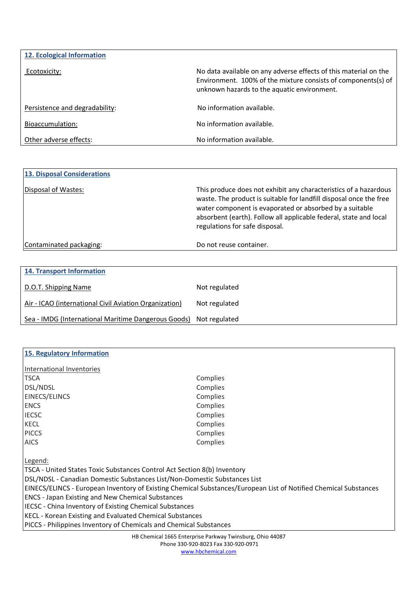| 12. Ecological Information     |                                                                                                                                                                                  |
|--------------------------------|----------------------------------------------------------------------------------------------------------------------------------------------------------------------------------|
| Ecotoxicity:                   | No data available on any adverse effects of this material on the<br>Environment. 100% of the mixture consists of components(s) of<br>unknown hazards to the aquatic environment. |
| Persistence and degradability: | No information available.                                                                                                                                                        |
| Bioaccumulation:               | No information available.                                                                                                                                                        |
| Other adverse effects:         | No information available.                                                                                                                                                        |

| <b>13. Disposal Considerations</b> |                                                                                                                                                                                                                                                                                                          |
|------------------------------------|----------------------------------------------------------------------------------------------------------------------------------------------------------------------------------------------------------------------------------------------------------------------------------------------------------|
| Disposal of Wastes:                | This produce does not exhibit any characteristics of a hazardous<br>waste. The product is suitable for landfill disposal once the free<br>water component is evaporated or absorbed by a suitable<br>absorbent (earth). Follow all applicable federal, state and local<br>regulations for safe disposal. |
| Contaminated packaging:            | Do not reuse container.                                                                                                                                                                                                                                                                                  |

| <b>14. Transport Information</b>                                  |               |
|-------------------------------------------------------------------|---------------|
| D.O.T. Shipping Name                                              | Not regulated |
| Air - ICAO (international Civil Aviation Organization)            | Not regulated |
| Sea - IMDG (International Maritime Dangerous Goods) Not regulated |               |

| 15. Regulatory Information                                                                                       |          |  |  |  |  |
|------------------------------------------------------------------------------------------------------------------|----------|--|--|--|--|
| International Inventories                                                                                        |          |  |  |  |  |
| <b>TSCA</b>                                                                                                      | Complies |  |  |  |  |
| <b>DSL/NDSL</b>                                                                                                  | Complies |  |  |  |  |
| <b>EINECS/ELINCS</b>                                                                                             | Complies |  |  |  |  |
| <b>ENCS</b>                                                                                                      | Complies |  |  |  |  |
| <b>IECSC</b>                                                                                                     | Complies |  |  |  |  |
| <b>KECL</b>                                                                                                      | Complies |  |  |  |  |
| <b>PICCS</b>                                                                                                     | Complies |  |  |  |  |
| <b>AICS</b>                                                                                                      | Complies |  |  |  |  |
| Legend:                                                                                                          |          |  |  |  |  |
| TSCA - United States Toxic Substances Control Act Section 8(b) Inventory                                         |          |  |  |  |  |
| DSL/NDSL - Canadian Domestic Substances List/Non-Domestic Substances List                                        |          |  |  |  |  |
| EINECS/ELINCS - European Inventory of Existing Chemical Substances/European List of Notified Chemical Substances |          |  |  |  |  |
| <b>ENCS - Japan Existing and New Chemical Substances</b>                                                         |          |  |  |  |  |
| IECSC - China Inventory of Existing Chemical Substances                                                          |          |  |  |  |  |
| <b>KECL - Korean Existing and Evaluated Chemical Substances</b>                                                  |          |  |  |  |  |
| PICCS - Philippines Inventory of Chemicals and Chemical Substances                                               |          |  |  |  |  |
|                                                                                                                  |          |  |  |  |  |

HB Chemical 1665 Enterprise Parkway Twinsburg, Ohio 44087 Phone 330-920-8023 Fax 330-920-0971

www.hbchemical.com